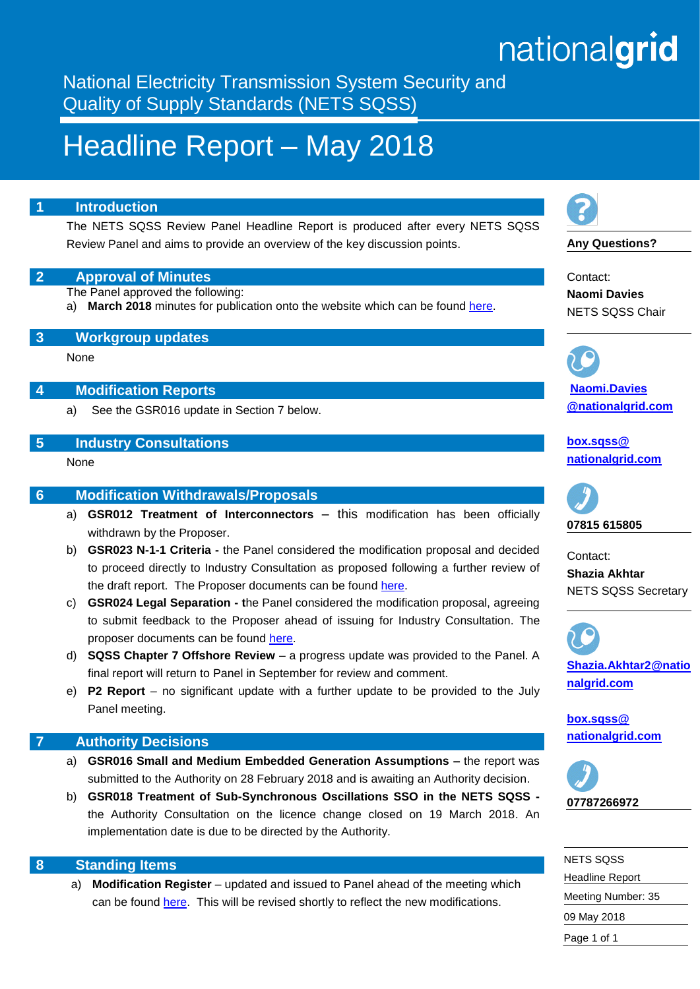# nationalgrid

National Electricity Transmission System Security and Quality of Supply Standards (NETS SQSS)

## Headline Report – May 2018

#### **1 Introduction**

The NETS SQSS Review Panel Headline Report is produced after every NETS SQSS Review Panel and aims to provide an overview of the key discussion points.

#### **2 Approval of Minutes**

The Panel approved the following:

a) **March 2018** minutes for publication onto the website which can be found [here.](https://www.nationalgrid.com/uk/electricity/codes/security-and-quality-supply-standards/meetings/sqss-panel-meeting-09052018)

#### **3 Workgroup updates**

None

#### **4 Modification Reports**

a) See the GSR016 update in Section 7 below.

#### **5 Industry Consultations**

None

#### **6 Modification Withdrawals/Proposals**

- a) **GSR012 Treatment of Interconnectors**  this modification has been officially withdrawn by the Proposer.
- b) **GSR023 N-1-1 Criteria -** the Panel considered the modification proposal and decided to proceed directly to Industry Consultation as proposed following a further review of the draft report. The Proposer documents can be found [here.](https://www.nationalgrid.com/uk/electricity/codes/security-and-quality-supply-standards/meetings/sqss-panel-meeting-09052018)
- c) **GSR024 Legal Separation - t**he Panel considered the modification proposal, agreeing to submit feedback to the Proposer ahead of issuing for Industry Consultation. The proposer documents can be found [here.](https://www.nationalgrid.com/uk/electricity/codes/security-and-quality-supply-standards/meetings/sqss-panel-meeting-09052018)
- d) **SQSS Chapter 7 Offshore Review**  a progress update was provided to the Panel. A final report will return to Panel in September for review and comment.
- e) **P2 Report**  no significant update with a further update to be provided to the July Panel meeting.

#### **7 Authority Decisions**

- a) **GSR016 Small and Medium Embedded Generation Assumptions –** the report was submitted to the Authority on 28 February 2018 and is awaiting an Authority decision.
- b) **GSR018 Treatment of Sub-Synchronous Oscillations SSO in the NETS SQSS**  the Authority Consultation on the licence change closed on 19 March 2018. An implementation date is due to be directed by the Authority.

#### **8 Standing Items**

a) **Modification Register** – updated and issued to Panel ahead of the meeting which can be found [here.](https://www.nationalgrid.com/uk/electricity/codes/security-and-quality-supply-standards/meetings/sqss-panel-meeting-09052018) This will be revised shortly to reflect the new modifications.



**Any Questions?**

Contact: **Naomi Davies** NETS SQSS Chair

**[Naomi.Davies](mailto:john.west@%0Bnationalgrid.com) [@nationalgrid.com](mailto:john.west@%0Bnationalgrid.com)**

**[box.sqss@](mailto:box.sqss@%20nationalgrid.com)  [nationalgrid.com](mailto:box.sqss@%20nationalgrid.com)**



Contact: **Shazia Akhtar** NETS SQSS Secretary



**[box.sqss@](mailto:box.sqss@%20nationalgrid.com)  [nationalgrid.com](mailto:box.sqss@%20nationalgrid.com)**



| NETS SOSS              |
|------------------------|
| <b>Headline Report</b> |
| Meeting Number: 35     |
| 09 May 2018            |
| Page 1 of 1            |